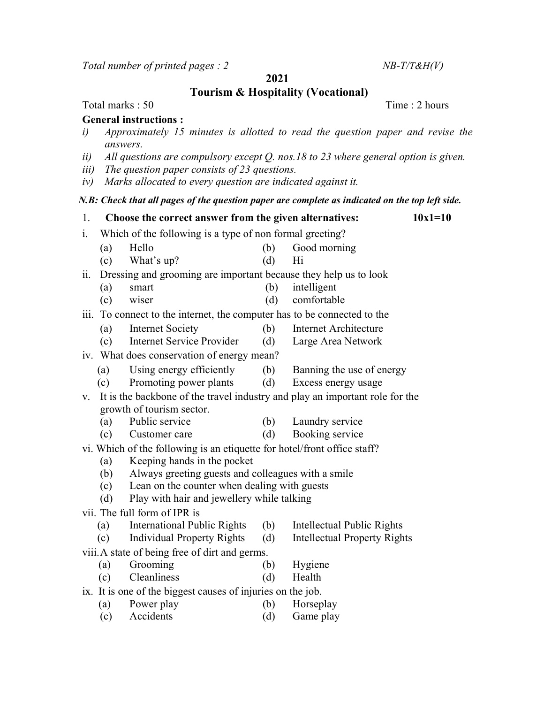Total number of printed pages :  $2$  NB-T/T&H(V)

2021

Tourism & Hospitality (Vocational)

## Total marks : 50 Time : 2 hours

## General instructions :

- i) Approximately 15 minutes is allotted to read the question paper and revise the answers.
- ii) All questions are compulsory except Q. nos.18 to 23 where general option is given.
- iii) The question paper consists of 23 questions.
- iv) Marks allocated to every question are indicated against it.

## N.B: Check that all pages of the question paper are complete as indicated on the top left side.

- 1. Choose the correct answer from the given alternatives:  $10x1=10$
- i. Which of the following is a type of non formal greeting?
	- (a) Hello (b) Good morning
	- (c) What's up? (d) Hi

ii. Dressing and grooming are important because they help us to look

- (a) smart (b) intelligent
- (c) wiser (d) comfortable

iii. To connect to the internet, the computer has to be connected to the

- (a) Internet Society (b) Internet Architecture
- (c) Internet Service Provider (d) Large Area Network

## iv. What does conservation of energy mean?

- (a) Using energy efficiently (b) Banning the use of energy
	-
- (c) Promoting power plants (d) Excess energy usage
- v. It is the backbone of the travel industry and play an important role for the growth of tourism sector.
	- (a) Public service (b) Laundry service
	- (c) Customer care (d) Booking service
- vi. Which of the following is an etiquette for hotel/front office staff?
	- (a) Keeping hands in the pocket
	- (b) Always greeting guests and colleagues with a smile
	- (c) Lean on the counter when dealing with guests
	- (d) Play with hair and jewellery while talking
- vii. The full form of IPR is
	- (a) International Public Rights (b) Intellectual Public Rights
	- (c) Individual Property Rights (d) Intellectual Property Rights
- viii. A state of being free of dirt and germs.
	- (a) Grooming (b) Hygiene
	- (c) Cleanliness (d) Health
- ix. It is one of the biggest causes of injuries on the job.
	- (a) Power play (b) Horseplay
	- (c) Accidents (d) Game play